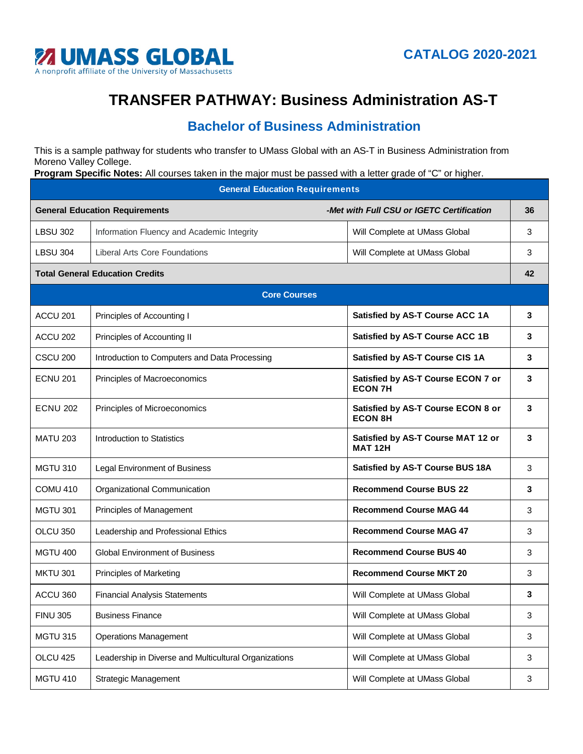

## **TRANSFER PATHWAY: Business Administration AS-T**

## **Bachelor of Business Administration**

This is a sample pathway for students who transfer to UMass Global with an AS-T in Business Administration from Moreno Valley College.

**Program Specific Notes:** All courses taken in the major must be passed with a letter grade of "C" or higher.

| <b>General Education Requirements</b>  |                                                       |                                                      |    |  |  |  |  |
|----------------------------------------|-------------------------------------------------------|------------------------------------------------------|----|--|--|--|--|
| <b>General Education Requirements</b>  |                                                       | -Met with Full CSU or IGETC Certification            | 36 |  |  |  |  |
| <b>LBSU 302</b>                        | Information Fluency and Academic Integrity            | Will Complete at UMass Global                        | 3  |  |  |  |  |
| <b>LBSU 304</b>                        | Liberal Arts Core Foundations                         | Will Complete at UMass Global                        | 3  |  |  |  |  |
| <b>Total General Education Credits</b> |                                                       |                                                      |    |  |  |  |  |
| <b>Core Courses</b>                    |                                                       |                                                      |    |  |  |  |  |
| ACCU <sub>201</sub>                    | Principles of Accounting I                            | <b>Satisfied by AS-T Course ACC 1A</b>               | 3  |  |  |  |  |
| ACCU 202                               | Principles of Accounting II                           | Satisfied by AS-T Course ACC 1B                      | 3  |  |  |  |  |
| CSCU <sub>200</sub>                    | Introduction to Computers and Data Processing         | Satisfied by AS-T Course CIS 1A                      | 3  |  |  |  |  |
| <b>ECNU 201</b>                        | Principles of Macroeconomics                          | Satisfied by AS-T Course ECON 7 or<br><b>ECON 7H</b> | 3  |  |  |  |  |
| <b>ECNU 202</b>                        | Principles of Microeconomics                          | Satisfied by AS-T Course ECON 8 or<br><b>ECON 8H</b> | 3  |  |  |  |  |
| <b>MATU 203</b>                        | Introduction to Statistics                            | Satisfied by AS-T Course MAT 12 or<br><b>MAT 12H</b> | 3  |  |  |  |  |
| <b>MGTU 310</b>                        | Legal Environment of Business                         | <b>Satisfied by AS-T Course BUS 18A</b>              | 3  |  |  |  |  |
| COMU <sub>410</sub>                    | Organizational Communication                          | <b>Recommend Course BUS 22</b>                       | 3  |  |  |  |  |
| <b>MGTU 301</b>                        | Principles of Management                              | <b>Recommend Course MAG 44</b>                       | 3  |  |  |  |  |
| OLCU 350                               | Leadership and Professional Ethics                    | <b>Recommend Course MAG 47</b>                       | 3  |  |  |  |  |
| <b>MGTU 400</b>                        | <b>Global Environment of Business</b>                 | <b>Recommend Course BUS 40</b>                       | 3  |  |  |  |  |
| <b>MKTU 301</b>                        | <b>Principles of Marketing</b>                        | <b>Recommend Course MKT 20</b>                       | 3  |  |  |  |  |
| ACCU 360                               | <b>Financial Analysis Statements</b>                  | Will Complete at UMass Global                        | 3  |  |  |  |  |
| <b>FINU 305</b>                        | <b>Business Finance</b>                               | Will Complete at UMass Global                        | 3  |  |  |  |  |
| <b>MGTU 315</b>                        | <b>Operations Management</b>                          | Will Complete at UMass Global                        | 3  |  |  |  |  |
| OLCU 425                               | Leadership in Diverse and Multicultural Organizations | Will Complete at UMass Global                        | 3  |  |  |  |  |
| <b>MGTU 410</b>                        | <b>Strategic Management</b>                           | Will Complete at UMass Global                        | 3  |  |  |  |  |